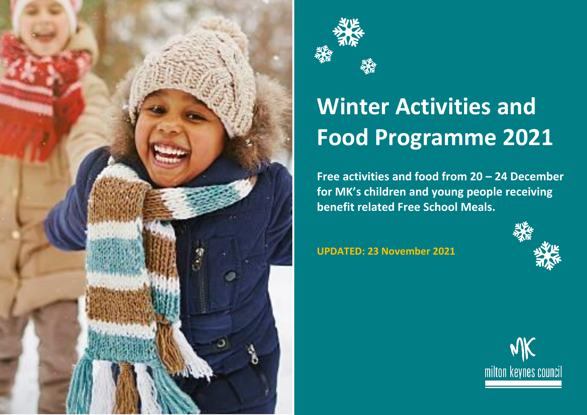



## **Winter Activities and Food Programme 2021**

**Free activities and food from 20 – 24 December for MK's children and young people receiving benefit related Free School Meals.** 

**UPDATED: 23 November 2021**



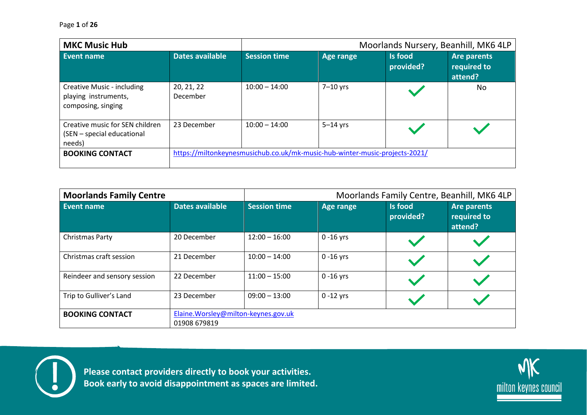| <b>MKC Music Hub</b>                                                     |                        |                                                                             |            | Moorlands Nursery, Beanhill, MK6 4LP |                                              |  |  |
|--------------------------------------------------------------------------|------------------------|-----------------------------------------------------------------------------|------------|--------------------------------------|----------------------------------------------|--|--|
| Event name                                                               | Dates available        | <b>Session time</b>                                                         | Age range  | Is food<br>provided?                 | <b>Are parents</b><br>required to<br>attend? |  |  |
| Creative Music - including<br>playing instruments,<br>composing, singing | 20, 21, 22<br>December | $10:00 - 14:00$                                                             | $7-10$ yrs |                                      | No                                           |  |  |
| Creative music for SEN children<br>(SEN - special educational<br>needs)  | 23 December            | $10:00 - 14:00$                                                             | $5-14$ yrs |                                      |                                              |  |  |
| <b>BOOKING CONTACT</b>                                                   |                        | https://miltonkeynesmusichub.co.uk/mk-music-hub-winter-music-projects-2021/ |            |                                      |                                              |  |  |

| <b>Moorlands Family Centre</b> |                                                      | Moorlands Family Centre, Beanhill, MK6 4LP |              |                      |                                              |
|--------------------------------|------------------------------------------------------|--------------------------------------------|--------------|----------------------|----------------------------------------------|
| Event name                     | Dates available                                      | <b>Session time</b>                        | Age range    | Is food<br>provided? | <b>Are parents</b><br>required to<br>attend? |
| Christmas Party                | 20 December                                          | $12:00 - 16:00$                            | $0 - 16$ yrs |                      |                                              |
| Christmas craft session        | 21 December                                          | $10:00 - 14:00$                            | $0 - 16$ yrs |                      |                                              |
| Reindeer and sensory session   | 22 December                                          | $11:00 - 15:00$                            | $0 - 16$ yrs |                      |                                              |
| Trip to Gulliver's Land        | 23 December                                          | $09:00 - 13:00$                            | $0 - 12$ yrs |                      |                                              |
| <b>BOOKING CONTACT</b>         | Elaine. Worsley@milton-keynes.gov.uk<br>01908 679819 |                                            |              |                      |                                              |



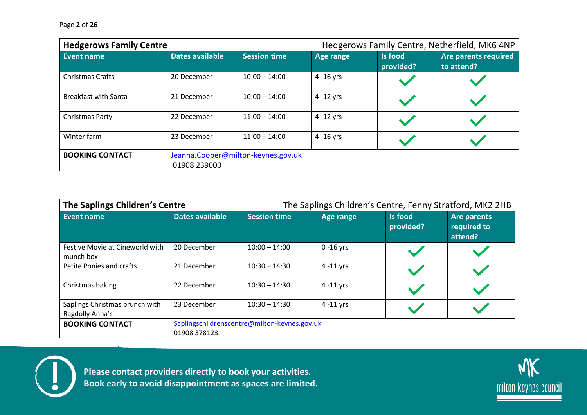| <b>Hedgerows Family Centre</b> |                        | Hedgerows Family Centre, Netherfield, MK6 4NP |              |                      |                                    |  |  |
|--------------------------------|------------------------|-----------------------------------------------|--------------|----------------------|------------------------------------|--|--|
| Event name                     | <b>Dates available</b> | <b>Session time</b>                           | Age range    | Is food<br>provided? | Are parents required<br>to attend? |  |  |
| <b>Christmas Crafts</b>        | 20 December            | $10:00 - 14:00$                               | $4 - 16$ yrs |                      |                                    |  |  |
| <b>Breakfast with Santa</b>    | 21 December            | $10:00 - 14:00$                               | $4 - 12$ yrs |                      |                                    |  |  |
| Christmas Party                | 22 December            | $11:00 - 14:00$                               | $4 - 12$ yrs |                      |                                    |  |  |
| Winter farm                    | 23 December            | $11:00 - 14:00$                               | $4 - 16$ yrs |                      |                                    |  |  |
| <b>BOOKING CONTACT</b>         |                        | Jeanna.Cooper@milton-keynes.gov.uk            |              |                      |                                    |  |  |
|                                | 01908 239000           |                                               |              |                      |                                    |  |  |

| The Saplings Children's Centre                    |                                                              | The Saplings Children's Centre, Fenny Stratford, MK2 2HB |              |                      |                                              |
|---------------------------------------------------|--------------------------------------------------------------|----------------------------------------------------------|--------------|----------------------|----------------------------------------------|
| Event name                                        | <b>Dates available</b>                                       | <b>Session time</b>                                      | Age range    | Is food<br>provided? | <b>Are parents</b><br>required to<br>attend? |
| Festive Movie at Cineworld with<br>munch box      | 20 December                                                  | $10:00 - 14:00$                                          | $0 - 16$ yrs |                      |                                              |
| Petite Ponies and crafts                          | 21 December                                                  | $10:30 - 14:30$                                          | $4 - 11$ yrs |                      |                                              |
| Christmas baking                                  | 22 December                                                  | $10:30 - 14:30$                                          | $4 - 11$ yrs |                      |                                              |
| Saplings Christmas brunch with<br>Ragdolly Anna's | 23 December                                                  | $10:30 - 14:30$                                          | $4 - 11$ yrs |                      |                                              |
| <b>BOOKING CONTACT</b>                            | Saplingschildrenscentre@milton-keynes.gov.uk<br>01908 378123 |                                                          |              |                      |                                              |



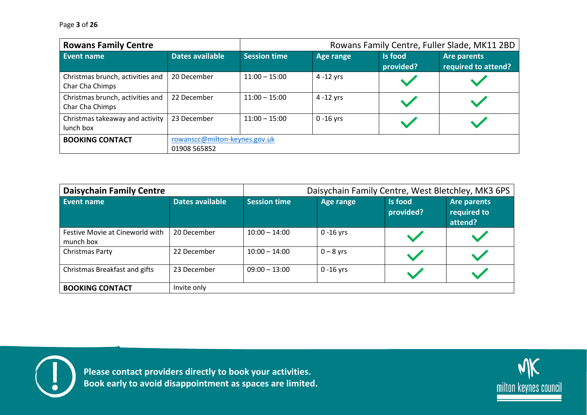| <b>Rowans Family Centre</b>                         |                                               |                     |                  |                      | Rowans Family Centre, Fuller Slade, MK11 2BD |
|-----------------------------------------------------|-----------------------------------------------|---------------------|------------------|----------------------|----------------------------------------------|
| Event name                                          | <b>Dates available</b>                        | <b>Session time</b> | <b>Age range</b> | Is food<br>provided? | <b>Are parents</b><br>required to attend?    |
| Christmas brunch, activities and<br>Char Cha Chimps | 20 December                                   | $11:00 - 15:00$     | 4 -12 yrs        |                      |                                              |
| Christmas brunch, activities and<br>Char Cha Chimps | 22 December                                   | $11:00 - 15:00$     | $4 - 12$ yrs     |                      |                                              |
| Christmas takeaway and activity<br>lunch box        | 23 December                                   | $11:00 - 15:00$     | $0 - 16$ yrs     |                      |                                              |
| <b>BOOKING CONTACT</b>                              | rowanscc@milton-keynes.gov.uk<br>01908 565852 |                     |                  |                      |                                              |

| <b>Daisychain Family Centre</b>              |                 | Daisychain Family Centre, West Bletchley, MK3 6PS |              |                      |                                       |
|----------------------------------------------|-----------------|---------------------------------------------------|--------------|----------------------|---------------------------------------|
| Event name                                   | Dates available | <b>Session time</b>                               | Age range    | Is food<br>provided? | Are parents<br>required to<br>attend? |
| Festive Movie at Cineworld with<br>munch box | 20 December     | $10:00 - 14:00$                                   | $0 - 16$ yrs |                      |                                       |
| Christmas Party                              | 22 December     | $10:00 - 14:00$                                   | $0 - 8$ yrs  |                      |                                       |
| Christmas Breakfast and gifts                | 23 December     | $09:00 - 13:00$                                   | $0 - 16$ yrs |                      |                                       |
| <b>BOOKING CONTACT</b>                       | Invite only     |                                                   |              |                      |                                       |



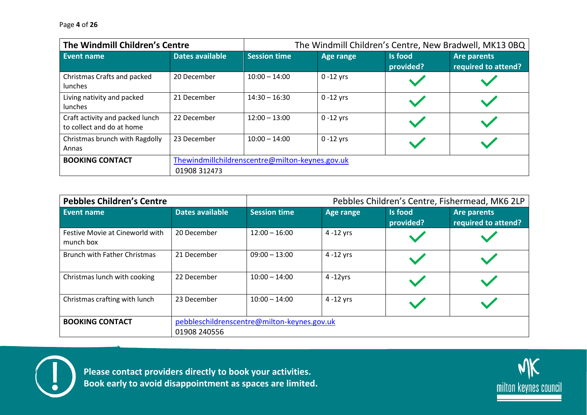| The Windmill Children's Centre                               |                 | The Windmill Children's Centre, New Bradwell, MK13 0BQ |              |                      |                                           |
|--------------------------------------------------------------|-----------------|--------------------------------------------------------|--------------|----------------------|-------------------------------------------|
| Event name                                                   | Dates available | <b>Session time</b>                                    | Age range    | Is food<br>provided? | <b>Are parents</b><br>required to attend? |
| Christmas Crafts and packed<br><b>lunches</b>                | 20 December     | $10:00 - 14:00$                                        | $0 - 12$ yrs |                      |                                           |
| Living nativity and packed<br><b>lunches</b>                 | 21 December     | $14:30 - 16:30$                                        | $0 - 12$ yrs |                      |                                           |
| Craft activity and packed lunch<br>to collect and do at home | 22 December     | $12:00 - 13:00$                                        | $0 - 12$ yrs |                      |                                           |
| Christmas brunch with Ragdolly<br>Annas                      | 23 December     | $10:00 - 14:00$                                        | $0 - 12$ yrs |                      |                                           |
| <b>BOOKING CONTACT</b>                                       | 01908 312473    | Thewindmillchildrenscentre@milton-keynes.gov.uk        |              |                      |                                           |

| <b>Pebbles Children's Centre</b>             |                 | Pebbles Children's Centre, Fishermead, MK6 2LP |              |                             |                                           |
|----------------------------------------------|-----------------|------------------------------------------------|--------------|-----------------------------|-------------------------------------------|
| Event name                                   | Dates available | <b>Session time</b>                            | Age range    | <b>Is food</b><br>provided? | <b>Are parents</b><br>required to attend? |
| Festive Movie at Cineworld with<br>munch box | 20 December     | $12:00 - 16:00$                                | $4 - 12$ yrs |                             |                                           |
| <b>Brunch with Father Christmas</b>          | 21 December     | $09:00 - 13:00$                                | $4 - 12$ yrs |                             |                                           |
| Christmas lunch with cooking                 | 22 December     | $10:00 - 14:00$                                | $4 - 12$ yrs |                             |                                           |
| Christmas crafting with lunch                | 23 December     | $10:00 - 14:00$                                | $4 - 12$ yrs |                             |                                           |
| <b>BOOKING CONTACT</b>                       | 01908 240556    | pebbleschildrenscentre@milton-keynes.gov.uk    |              |                             |                                           |



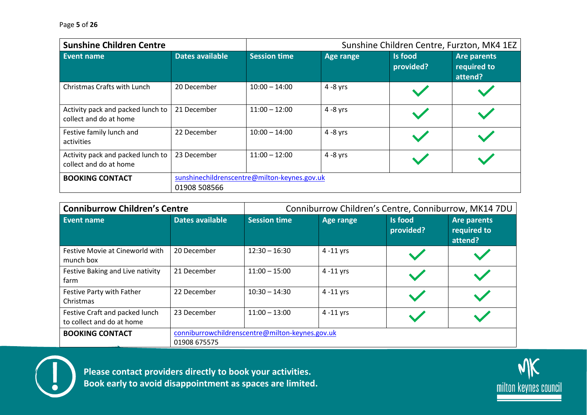| <b>Sunshine Children Centre</b>                             |                                                              | Sunshine Children Centre, Furzton, MK4 1EZ |             |                             |                                       |
|-------------------------------------------------------------|--------------------------------------------------------------|--------------------------------------------|-------------|-----------------------------|---------------------------------------|
| Event name                                                  | Dates available                                              | <b>Session time</b>                        | Age range   | <b>Is food</b><br>provided? | Are parents<br>required to<br>attend? |
| Christmas Crafts with Lunch                                 | 20 December                                                  | $10:00 - 14:00$                            | $4 - 8$ yrs |                             |                                       |
| Activity pack and packed lunch to<br>collect and do at home | 21 December                                                  | $11:00 - 12:00$                            | $4 - 8$ yrs |                             |                                       |
| Festive family lunch and<br>activities                      | 22 December                                                  | $10:00 - 14:00$                            | $4 - 8$ yrs |                             |                                       |
| Activity pack and packed lunch to<br>collect and do at home | 23 December                                                  | $11:00 - 12:00$                            | $4 - 8$ yrs |                             |                                       |
| <b>BOOKING CONTACT</b>                                      | sunshinechildrenscentre@milton-keynes.gov.uk<br>01908 508566 |                                            |             |                             |                                       |

| <b>Conniburrow Children's Centre</b>                        |                                                                 | Conniburrow Children's Centre, Conniburrow, MK14 7DU |                  |                      |                                       |
|-------------------------------------------------------------|-----------------------------------------------------------------|------------------------------------------------------|------------------|----------------------|---------------------------------------|
| <b>Event name</b>                                           | Dates available                                                 | <b>Session time</b>                                  | <b>Age range</b> | Is food<br>provided? | Are parents<br>required to<br>attend? |
| Festive Movie at Cineworld with<br>munch box                | 20 December                                                     | $12:30 - 16:30$                                      | $4 - 11$ yrs     |                      |                                       |
| Festive Baking and Live nativity<br>farm                    | 21 December                                                     | $11:00 - 15:00$                                      | $4 - 11$ yrs     |                      |                                       |
| Festive Party with Father<br>Christmas                      | 22 December                                                     | $10:30 - 14:30$                                      | $4 - 11$ yrs     |                      |                                       |
| Festive Craft and packed lunch<br>to collect and do at home | 23 December                                                     | $11:00 - 13:00$                                      | $4 - 11$ yrs     |                      |                                       |
| <b>BOOKING CONTACT</b>                                      | conniburrowchildrenscentre@milton-keynes.gov.uk<br>01908 675575 |                                                      |                  |                      |                                       |



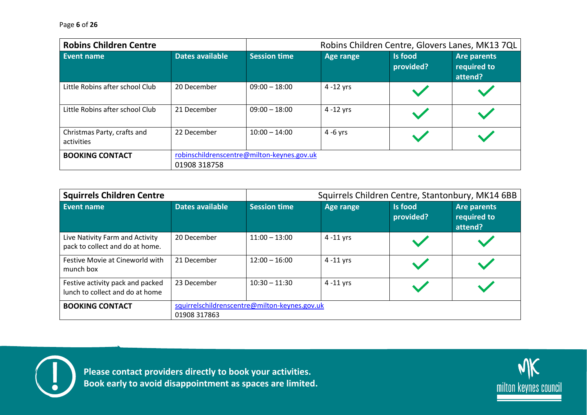| <b>Robins Children Centre</b>             |                                                            |                     |                  | Robins Children Centre, Glovers Lanes, MK13 7QL |                                       |
|-------------------------------------------|------------------------------------------------------------|---------------------|------------------|-------------------------------------------------|---------------------------------------|
| Event name                                | <b>Dates available</b>                                     | <b>Session time</b> | <b>Age range</b> | <b>Is food</b><br>provided?                     | Are parents<br>required to<br>attend? |
| Little Robins after school Club           | 20 December                                                | $09:00 - 18:00$     | $4 - 12$ yrs     |                                                 |                                       |
| Little Robins after school Club           | 21 December                                                | $09:00 - 18:00$     | $4 - 12$ yrs     |                                                 |                                       |
| Christmas Party, crafts and<br>activities | 22 December                                                | $10:00 - 14:00$     | $4 - 6$ yrs      |                                                 |                                       |
| <b>BOOKING CONTACT</b>                    | robinschildrenscentre@milton-keynes.gov.uk<br>01908 318758 |                     |                  |                                                 |                                       |

| <b>Squirrels Children Centre</b>                                    |                                                               |                     |              | Squirrels Children Centre, Stantonbury, MK14 6BB |                                              |
|---------------------------------------------------------------------|---------------------------------------------------------------|---------------------|--------------|--------------------------------------------------|----------------------------------------------|
| Event name                                                          | <b>Dates available</b>                                        | <b>Session time</b> | Age range    | <b>Is food</b><br>provided?                      | <b>Are parents</b><br>required to<br>attend? |
| Live Nativity Farm and Activity<br>pack to collect and do at home.  | 20 December                                                   | $11:00 - 13:00$     | $4 - 11$ yrs |                                                  |                                              |
| Festive Movie at Cineworld with<br>munch box                        | 21 December                                                   | $12:00 - 16:00$     | $4 - 11$ yrs |                                                  |                                              |
| Festive activity pack and packed<br>lunch to collect and do at home | 23 December                                                   | $10:30 - 11:30$     | $4 - 11$ yrs |                                                  |                                              |
| <b>BOOKING CONTACT</b>                                              | squirrelschildrenscentre@milton-keynes.gov.uk<br>01908 317863 |                     |              |                                                  |                                              |



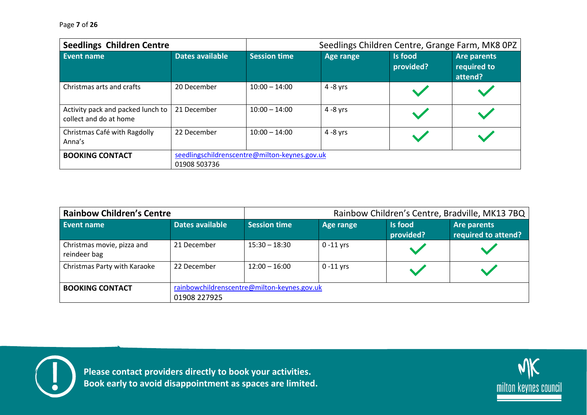| <b>Seedlings Children Centre</b>                            |                                                               |                     | Seedlings Children Centre, Grange Farm, MK8 OPZ |                      |                                              |
|-------------------------------------------------------------|---------------------------------------------------------------|---------------------|-------------------------------------------------|----------------------|----------------------------------------------|
| Event name                                                  | <b>Dates available</b>                                        | <b>Session time</b> | <b>Age range</b>                                | Is food<br>provided? | <b>Are parents</b><br>required to<br>attend? |
| Christmas arts and crafts                                   | 20 December                                                   | $10:00 - 14:00$     | $4 - 8$ yrs                                     |                      |                                              |
| Activity pack and packed lunch to<br>collect and do at home | 21 December                                                   | $10:00 - 14:00$     | $4 - 8$ yrs                                     |                      |                                              |
| Christmas Café with Ragdolly<br>Anna's                      | 22 December                                                   | $10:00 - 14:00$     | $4 - 8$ yrs                                     |                      |                                              |
| <b>BOOKING CONTACT</b>                                      | seedlingschildrenscentre@milton-keynes.gov.uk<br>01908 503736 |                     |                                                 |                      |                                              |

| <b>Rainbow Children's Centre</b>           |                                                             |                     |              |                      | Rainbow Children's Centre, Bradville, MK13 7BQ |
|--------------------------------------------|-------------------------------------------------------------|---------------------|--------------|----------------------|------------------------------------------------|
| Event name                                 | <b>Dates available</b>                                      | <b>Session time</b> | Age range    | Is food<br>provided? | Are parents<br>required to attend?             |
| Christmas movie, pizza and<br>reindeer bag | 21 December                                                 | $15:30 - 18:30$     | $0 - 11$ yrs |                      |                                                |
| Christmas Party with Karaoke               | 22 December                                                 | $12:00 - 16:00$     | $0 - 11$ yrs |                      |                                                |
| <b>BOOKING CONTACT</b>                     | rainbowchildrenscentre@milton-keynes.gov.uk<br>01908 227925 |                     |              |                      |                                                |



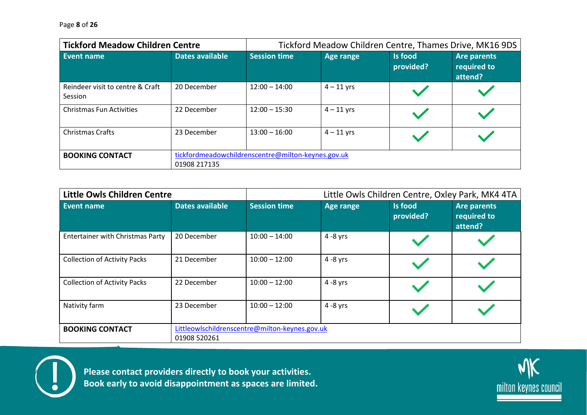Page **8** of **26**

| <b>Tickford Meadow Children Centre</b>      |                 | Tickford Meadow Children Centre, Thames Drive, MK16 9DS |                  |                      |                                              |  |  |
|---------------------------------------------|-----------------|---------------------------------------------------------|------------------|----------------------|----------------------------------------------|--|--|
| Event name                                  | Dates available | <b>Session time</b>                                     | <b>Age range</b> | Is food<br>provided? | <b>Are parents</b><br>required to<br>attend? |  |  |
| Reindeer visit to centre & Craft<br>Session | 20 December     | $12:00 - 14:00$                                         | $4 - 11$ yrs     |                      |                                              |  |  |
| <b>Christmas Fun Activities</b>             | 22 December     | $12:00 - 15:30$                                         | $4 - 11$ yrs     |                      |                                              |  |  |
| <b>Christmas Crafts</b>                     | 23 December     | $13:00 - 16:00$                                         | $4 - 11$ yrs     |                      |                                              |  |  |
| <b>BOOKING CONTACT</b>                      | 01908 217135    | tickfordmeadowchildrenscentre@milton-keynes.gov.uk      |                  |                      |                                              |  |  |

| <b>Little Owls Children Centre</b>      |                                                                | Little Owls Children Centre, Oxley Park, MK4 4TA |             |                             |                                              |  |
|-----------------------------------------|----------------------------------------------------------------|--------------------------------------------------|-------------|-----------------------------|----------------------------------------------|--|
| Event name                              | <b>Dates available</b>                                         | <b>Session time</b>                              | Age range   | <b>Is food</b><br>provided? | <b>Are parents</b><br>required to<br>attend? |  |
| <b>Entertainer with Christmas Party</b> | 20 December                                                    | $10:00 - 14:00$                                  | $4 - 8$ yrs |                             |                                              |  |
| <b>Collection of Activity Packs</b>     | 21 December                                                    | $10:00 - 12:00$                                  | $4 - 8$ yrs |                             |                                              |  |
| <b>Collection of Activity Packs</b>     | 22 December                                                    | $10:00 - 12:00$                                  | $4 - 8$ yrs |                             |                                              |  |
| Nativity farm                           | 23 December                                                    | $10:00 - 12:00$                                  | $4 - 8$ yrs |                             |                                              |  |
| <b>BOOKING CONTACT</b>                  | Littleowlschildrenscentre@milton-keynes.gov.uk<br>01908 520261 |                                                  |             |                             |                                              |  |



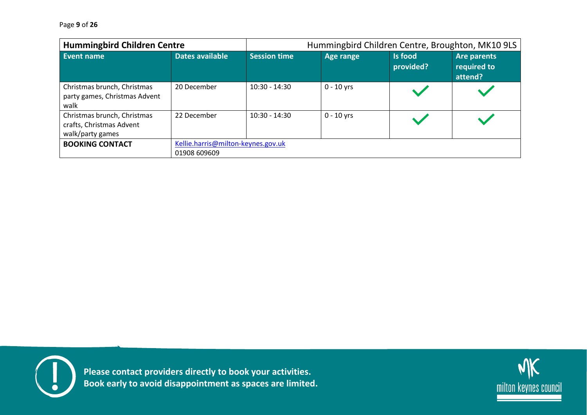Page **9** of **26**

| <b>Hummingbird Children Centre</b>                                          |                 |                                    | Hummingbird Children Centre, Broughton, MK10 9LS |                             |                                       |  |  |
|-----------------------------------------------------------------------------|-----------------|------------------------------------|--------------------------------------------------|-----------------------------|---------------------------------------|--|--|
| Event name                                                                  | Dates available | <b>Session time</b>                | Age range                                        | <b>Is food</b><br>provided? | Are parents<br>required to<br>attend? |  |  |
| Christmas brunch, Christmas<br>party games, Christmas Advent<br>walk        | 20 December     | $10:30 - 14:30$                    | $0 - 10$ yrs                                     |                             |                                       |  |  |
| Christmas brunch, Christmas<br>crafts, Christmas Advent<br>walk/party games | 22 December     | $10:30 - 14:30$                    | $0 - 10$ yrs                                     |                             |                                       |  |  |
| <b>BOOKING CONTACT</b>                                                      | 01908 609609    | Kellie.harris@milton-keynes.gov.uk |                                                  |                             |                                       |  |  |



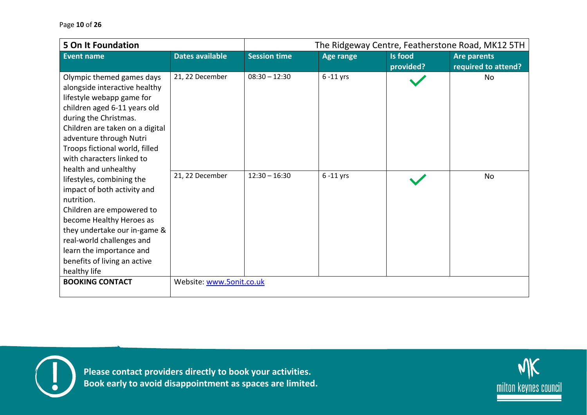| <b>5 On It Foundation</b>                                                                                                                                                                                                                                                                                                                                                                                                                                                                                                                                         |                                    | The Ridgeway Centre, Featherstone Road, MK12 5TH |                              |                      |                                           |
|-------------------------------------------------------------------------------------------------------------------------------------------------------------------------------------------------------------------------------------------------------------------------------------------------------------------------------------------------------------------------------------------------------------------------------------------------------------------------------------------------------------------------------------------------------------------|------------------------------------|--------------------------------------------------|------------------------------|----------------------|-------------------------------------------|
| <b>Event name</b>                                                                                                                                                                                                                                                                                                                                                                                                                                                                                                                                                 | <b>Dates available</b>             | <b>Session time</b>                              | <b>Age range</b>             | Is food<br>provided? | <b>Are parents</b><br>required to attend? |
| Olympic themed games days<br>alongside interactive healthy<br>lifestyle webapp game for<br>children aged 6-11 years old<br>during the Christmas.<br>Children are taken on a digital<br>adventure through Nutri<br>Troops fictional world, filled<br>with characters linked to<br>health and unhealthy<br>lifestyles, combining the<br>impact of both activity and<br>nutrition.<br>Children are empowered to<br>become Healthy Heroes as<br>they undertake our in-game &<br>real-world challenges and<br>learn the importance and<br>benefits of living an active | 21, 22 December<br>21, 22 December | $08:30 - 12:30$<br>$12:30 - 16:30$               | $6 - 11$ yrs<br>$6 - 11$ yrs |                      | No<br>No                                  |
| healthy life<br><b>BOOKING CONTACT</b>                                                                                                                                                                                                                                                                                                                                                                                                                                                                                                                            | Website: www.5onit.co.uk           |                                                  |                              |                      |                                           |
|                                                                                                                                                                                                                                                                                                                                                                                                                                                                                                                                                                   |                                    |                                                  |                              |                      |                                           |



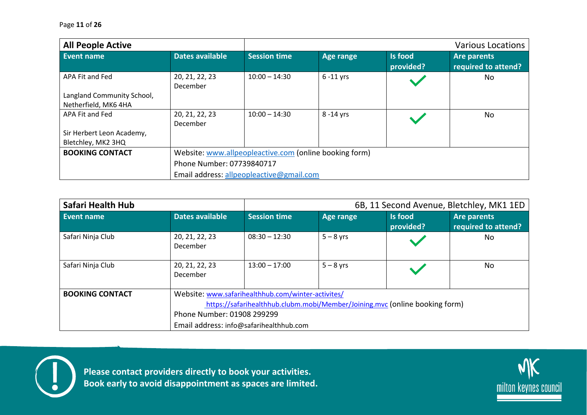| <b>All People Active</b>   |                            |                                                        |              |                      | <b>Various Locations</b>           |  |  |
|----------------------------|----------------------------|--------------------------------------------------------|--------------|----------------------|------------------------------------|--|--|
| Event name                 | Dates available            | <b>Session time</b>                                    | Age range    | Is food<br>provided? | Are parents<br>required to attend? |  |  |
| APA Fit and Fed            | 20, 21, 22, 23<br>December | $10:00 - 14:30$                                        | $6 - 11$ yrs |                      | No                                 |  |  |
| Langland Community School, |                            |                                                        |              |                      |                                    |  |  |
| Netherfield, MK6 4HA       |                            |                                                        |              |                      |                                    |  |  |
| APA Fit and Fed            | 20, 21, 22, 23             | $10:00 - 14:30$                                        | 8 -14 yrs    |                      | No.                                |  |  |
|                            | December                   |                                                        |              |                      |                                    |  |  |
| Sir Herbert Leon Academy,  |                            |                                                        |              |                      |                                    |  |  |
| Bletchley, MK2 3HQ         |                            |                                                        |              |                      |                                    |  |  |
| <b>BOOKING CONTACT</b>     |                            | Website: www.allpeopleactive.com (online booking form) |              |                      |                                    |  |  |
|                            |                            | Phone Number: 07739840717                              |              |                      |                                    |  |  |
|                            |                            | Email address: allpeopleactive@gmail.com               |              |                      |                                    |  |  |

| Safari Health Hub      |                            |                                                                             |             | 6B, 11 Second Avenue, Bletchley, MK1 1ED |                                    |  |  |  |
|------------------------|----------------------------|-----------------------------------------------------------------------------|-------------|------------------------------------------|------------------------------------|--|--|--|
| Event name             | <b>Dates available</b>     | <b>Session time</b>                                                         | Age range   | <b>Is food</b><br>provided?              | Are parents<br>required to attend? |  |  |  |
| Safari Ninja Club      | 20, 21, 22, 23<br>December | $08:30 - 12:30$                                                             | $5 - 8$ yrs |                                          | No                                 |  |  |  |
| Safari Ninja Club      | 20, 21, 22, 23<br>December | $13:00 - 17:00$                                                             | $5 - 8$ yrs |                                          | <b>No</b>                          |  |  |  |
| <b>BOOKING CONTACT</b> |                            | Website: www.safarihealthhub.com/winter-activites/                          |             |                                          |                                    |  |  |  |
|                        |                            | https://safarihealthhub.clubm.mobi/Member/Joining.mvc (online booking form) |             |                                          |                                    |  |  |  |
|                        | Phone Number: 01908 299299 |                                                                             |             |                                          |                                    |  |  |  |
|                        |                            | Email address: info@safarihealthhub.com                                     |             |                                          |                                    |  |  |  |



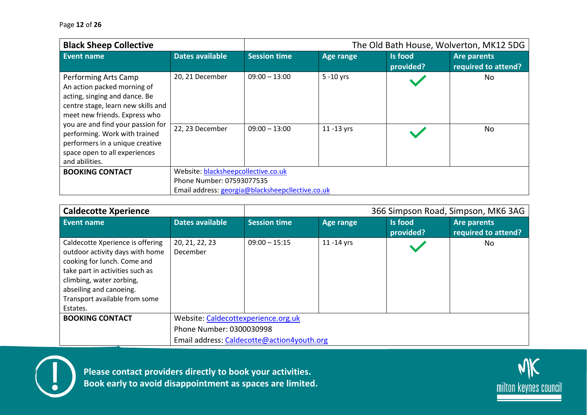| <b>Black Sheep Collective</b>                                                                                                                               |                                                  |                     |                  | The Old Bath House, Wolverton, MK12 5DG |                                           |  |  |
|-------------------------------------------------------------------------------------------------------------------------------------------------------------|--------------------------------------------------|---------------------|------------------|-----------------------------------------|-------------------------------------------|--|--|
| <b>Event name</b>                                                                                                                                           | <b>Dates available</b>                           | <b>Session time</b> | <b>Age range</b> | Is food<br>provided?                    | <b>Are parents</b><br>required to attend? |  |  |
| Performing Arts Camp<br>An action packed morning of<br>acting, singing and dance. Be<br>centre stage, learn new skills and<br>meet new friends. Express who | 20, 21 December                                  | $09:00 - 13:00$     | $5 - 10$ yrs     |                                         | No                                        |  |  |
| you are and find your passion for<br>performing. Work with trained<br>performers in a unique creative<br>space open to all experiences<br>and abilities.    | 22, 23 December                                  | $09:00 - 13:00$     | 11 -13 yrs       |                                         | No                                        |  |  |
| <b>BOOKING CONTACT</b>                                                                                                                                      | Website: blacksheepcollective.co.uk              |                     |                  |                                         |                                           |  |  |
|                                                                                                                                                             | Phone Number: 07593077535                        |                     |                  |                                         |                                           |  |  |
|                                                                                                                                                             | Email address: georgia@blacksheepcllective.co.uk |                     |                  |                                         |                                           |  |  |

| <b>Caldecotte Xperience</b>                                                                                                                                                                                                               |                                            |                          |                  | 366 Simpson Road, Simpson, MK6 3AG |                                           |  |  |
|-------------------------------------------------------------------------------------------------------------------------------------------------------------------------------------------------------------------------------------------|--------------------------------------------|--------------------------|------------------|------------------------------------|-------------------------------------------|--|--|
| Event name                                                                                                                                                                                                                                | <b>Dates available</b>                     | <b>Session time</b>      | <b>Age range</b> | Is food<br>provided?               | <b>Are parents</b><br>required to attend? |  |  |
| Caldecotte Xperience is offering<br>outdoor activity days with home<br>cooking for lunch. Come and<br>take part in activities such as<br>climbing, water zorbing,<br>abseiling and canoeing.<br>Transport available from some<br>Estates. | 20, 21, 22, 23<br>December                 | $09:00 - 15:15$          | 11 - 14 yrs      |                                    | No.                                       |  |  |
| <b>BOOKING CONTACT</b>                                                                                                                                                                                                                    | Website: Caldecottexperience.org.uk        |                          |                  |                                    |                                           |  |  |
|                                                                                                                                                                                                                                           |                                            | Phone Number: 0300030998 |                  |                                    |                                           |  |  |
|                                                                                                                                                                                                                                           | Email address: Caldecotte@action4youth.org |                          |                  |                                    |                                           |  |  |



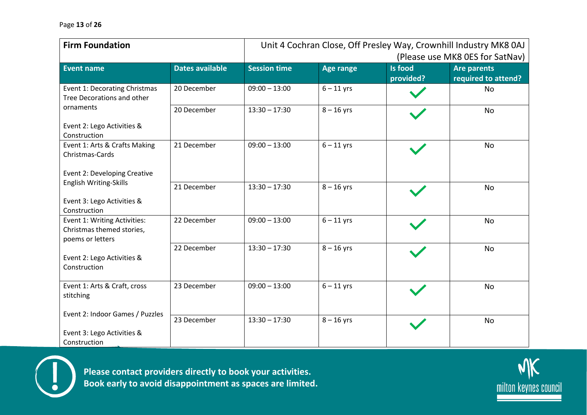| <b>Firm Foundation</b>                                                        | Unit 4 Cochran Close, Off Presley Way, Crownhill Industry MK8 0AJ<br>(Please use MK8 OES for SatNav) |                     |                  |                             |                                           |
|-------------------------------------------------------------------------------|------------------------------------------------------------------------------------------------------|---------------------|------------------|-----------------------------|-------------------------------------------|
| <b>Event name</b>                                                             | <b>Dates available</b>                                                                               | <b>Session time</b> | <b>Age range</b> | <b>Is food</b><br>provided? | <b>Are parents</b><br>required to attend? |
| Event 1: Decorating Christmas<br>Tree Decorations and other                   | 20 December                                                                                          | $09:00 - 13:00$     | $6 - 11$ yrs     |                             | No                                        |
| ornaments                                                                     | 20 December                                                                                          | $13:30 - 17:30$     | $8 - 16$ yrs     |                             | <b>No</b>                                 |
| Event 2: Lego Activities &<br>Construction                                    |                                                                                                      |                     |                  |                             |                                           |
| Event 1: Arts & Crafts Making<br>Christmas-Cards                              | 21 December                                                                                          | $09:00 - 13:00$     | $6 - 11$ yrs     |                             | No                                        |
| Event 2: Developing Creative<br>English Writing-Skills                        |                                                                                                      |                     |                  |                             |                                           |
| Event 3: Lego Activities &<br>Construction                                    | 21 December                                                                                          | $13:30 - 17:30$     | $8 - 16$ yrs     |                             | No                                        |
| Event 1: Writing Activities:<br>Christmas themed stories,<br>poems or letters | 22 December                                                                                          | $09:00 - 13:00$     | $6 - 11$ yrs     |                             | No                                        |
| Event 2: Lego Activities &<br>Construction                                    | 22 December                                                                                          | $13:30 - 17:30$     | $8 - 16$ yrs     |                             | <b>No</b>                                 |
| Event 1: Arts & Craft, cross<br>stitching                                     | 23 December                                                                                          | $09:00 - 13:00$     | $6 - 11$ yrs     |                             | No                                        |
| Event 2: Indoor Games / Puzzles                                               | 23 December                                                                                          | $13:30 - 17:30$     | $8 - 16$ yrs     |                             | <b>No</b>                                 |
| Event 3: Lego Activities &<br>Construction                                    |                                                                                                      |                     |                  |                             |                                           |



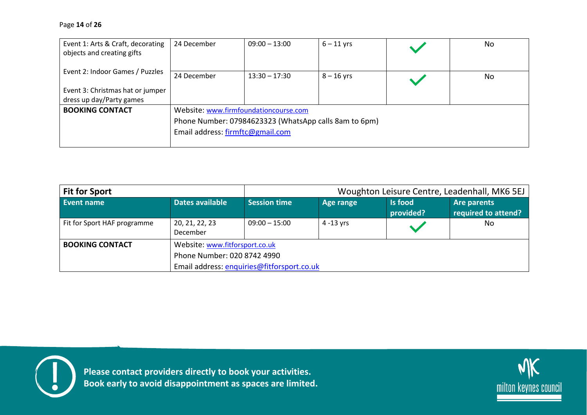| Event 1: Arts & Craft, decorating<br>objects and creating gifts                                 | 24 December                                                                               | $09:00 - 13:00$ | $6 - 11$ yrs |  | No |  |  |
|-------------------------------------------------------------------------------------------------|-------------------------------------------------------------------------------------------|-----------------|--------------|--|----|--|--|
| Event 2: Indoor Games / Puzzles<br>Event 3: Christmas hat or jumper<br>dress up day/Party games | 24 December                                                                               | $13:30 - 17:30$ | $8 - 16$ yrs |  | No |  |  |
| <b>BOOKING CONTACT</b>                                                                          | Website: www.firmfoundationcourse.com                                                     |                 |              |  |    |  |  |
|                                                                                                 | Phone Number: 07984623323 (WhatsApp calls 8am to 6pm)<br>Email address: firmftc@gmail.com |                 |              |  |    |  |  |

| <b>Fit for Sport</b>        |                            | Woughton Leisure Centre, Leadenhall, MK6 5EJ                  |              |                             |                                    |  |  |  |
|-----------------------------|----------------------------|---------------------------------------------------------------|--------------|-----------------------------|------------------------------------|--|--|--|
| Event name                  | Dates available            | <b>Session time</b>                                           | Age range    | <b>Is food</b><br>provided? | Are parents<br>required to attend? |  |  |  |
| Fit for Sport HAF programme | 20, 21, 22, 23<br>December | $09:00 - 15:00$                                               | $4 - 13$ vrs |                             | No                                 |  |  |  |
| <b>BOOKING CONTACT</b>      |                            | Website: www.fitforsport.co.uk<br>Phone Number: 020 8742 4990 |              |                             |                                    |  |  |  |
|                             |                            | Email address: enquiries@fitforsport.co.uk                    |              |                             |                                    |  |  |  |



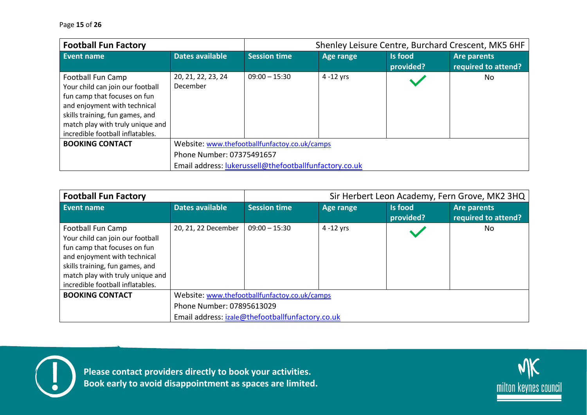| <b>Football Fun Factory</b>                                                                                                                                                                                                      |                                                        |                     |                  | Shenley Leisure Centre, Burchard Crescent, MK5 6HF |                                           |  |
|----------------------------------------------------------------------------------------------------------------------------------------------------------------------------------------------------------------------------------|--------------------------------------------------------|---------------------|------------------|----------------------------------------------------|-------------------------------------------|--|
| Event name                                                                                                                                                                                                                       | <b>Dates available</b>                                 | <b>Session time</b> | <b>Age range</b> | Is food<br>provided?                               | <b>Are parents</b><br>required to attend? |  |
| Football Fun Camp<br>Your child can join our football<br>fun camp that focuses on fun<br>and enjoyment with technical<br>skills training, fun games, and<br>match play with truly unique and<br>incredible football inflatables. | 20, 21, 22, 23, 24<br>December                         | $09:00 - 15:30$     | $4 - 12$ yrs     |                                                    | No.                                       |  |
| <b>BOOKING CONTACT</b>                                                                                                                                                                                                           | Website: www.thefootballfunfactoy.co.uk/camps          |                     |                  |                                                    |                                           |  |
|                                                                                                                                                                                                                                  | Phone Number: 07375491657                              |                     |                  |                                                    |                                           |  |
|                                                                                                                                                                                                                                  | Email address: lukerussell@thefootballfunfactory.co.uk |                     |                  |                                                    |                                           |  |

| <b>Football Fun Factory</b>                                                                                                                                                                                                      |                        | Sir Herbert Leon Academy, Fern Grove, MK2 3HQ    |              |                             |                                           |  |
|----------------------------------------------------------------------------------------------------------------------------------------------------------------------------------------------------------------------------------|------------------------|--------------------------------------------------|--------------|-----------------------------|-------------------------------------------|--|
| Event name                                                                                                                                                                                                                       | <b>Dates available</b> | <b>Session time</b>                              | Age range    | <b>Is food</b><br>provided? | <b>Are parents</b><br>required to attend? |  |
| Football Fun Camp<br>Your child can join our football<br>fun camp that focuses on fun<br>and enjoyment with technical<br>skills training, fun games, and<br>match play with truly unique and<br>incredible football inflatables. | 20, 21, 22 December    | $09:00 - 15:30$                                  | $4 - 12$ yrs |                             | No.                                       |  |
| <b>BOOKING CONTACT</b>                                                                                                                                                                                                           |                        | Website: www.thefootballfunfactoy.co.uk/camps    |              |                             |                                           |  |
|                                                                                                                                                                                                                                  |                        | Phone Number: 07895613029                        |              |                             |                                           |  |
|                                                                                                                                                                                                                                  |                        | Email address: izale@thefootballfunfactory.co.uk |              |                             |                                           |  |



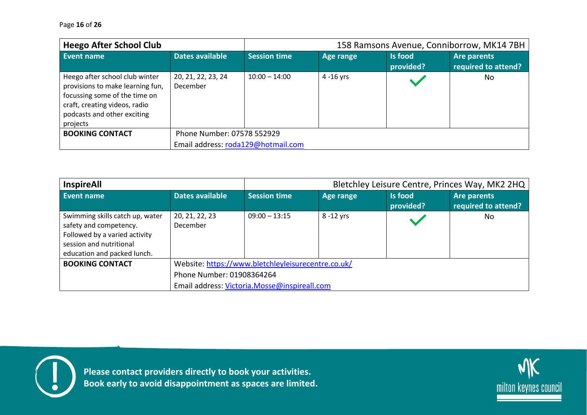| <b>Heego After School Club</b>                                                                                                                                                  |                                       |                     |              | 158 Ramsons Avenue, Conniborrow, MK14 7BH |                                    |  |
|---------------------------------------------------------------------------------------------------------------------------------------------------------------------------------|---------------------------------------|---------------------|--------------|-------------------------------------------|------------------------------------|--|
| <b>Event name</b>                                                                                                                                                               | Dates available                       | <b>Session time</b> | Age range    | <b>Is food</b><br>provided?               | Are parents<br>required to attend? |  |
| Heego after school club winter<br>provisions to make learning fun,<br>focussing some of the time on<br>craft, creating videos, radio<br>podcasts and other exciting<br>projects | 20, 21, 22, 23, 24<br><b>December</b> | $10:00 - 14:00$     | $4 - 16$ yrs |                                           | No                                 |  |
| <b>BOOKING CONTACT</b>                                                                                                                                                          | Phone Number: 07578 552929            |                     |              |                                           |                                    |  |
|                                                                                                                                                                                 | Email address: roda129@hotmail.com    |                     |              |                                           |                                    |  |

| <b>InspireAll</b>                                                                                                                                    |                                                    | Bletchley Leisure Centre, Princes Way, MK2 2HQ |            |                             |                                    |  |
|------------------------------------------------------------------------------------------------------------------------------------------------------|----------------------------------------------------|------------------------------------------------|------------|-----------------------------|------------------------------------|--|
| <b>Event name</b>                                                                                                                                    | Dates available                                    | <b>Session time</b>                            | Age range  | <b>Is food</b><br>provided? | Are parents<br>required to attend? |  |
| Swimming skills catch up, water<br>safety and competency.<br>Followed by a varied activity<br>session and nutritional<br>education and packed lunch. | 20, 21, 22, 23<br>December                         | $09:00 - 13:15$                                | 8 - 12 yrs |                             | No.                                |  |
| <b>BOOKING CONTACT</b>                                                                                                                               | Website: https://www.bletchleyleisurecentre.co.uk/ |                                                |            |                             |                                    |  |
|                                                                                                                                                      | Phone Number: 01908364264                          |                                                |            |                             |                                    |  |
|                                                                                                                                                      | Email address: Victoria.Mosse@inspireall.com       |                                                |            |                             |                                    |  |



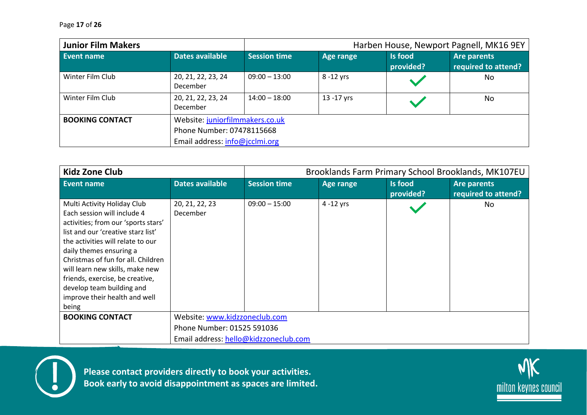| <b>Junior Film Makers</b> |                                |                                                                                                |                  | Harben House, Newport Pagnell, MK16 9EY |                                           |  |  |
|---------------------------|--------------------------------|------------------------------------------------------------------------------------------------|------------------|-----------------------------------------|-------------------------------------------|--|--|
| Event name                | <b>Dates available</b>         | <b>Session time</b>                                                                            | <b>Age range</b> | <b>Is food</b><br>provided?             | <b>Are parents</b><br>required to attend? |  |  |
| Winter Film Club          | 20, 21, 22, 23, 24<br>December | $09:00 - 13:00$                                                                                | $8 - 12$ yrs     |                                         | No                                        |  |  |
| Winter Film Club          | 20, 21, 22, 23, 24<br>December | $14:00 - 18:00$                                                                                | 13 - 17 yrs      |                                         | No                                        |  |  |
| <b>BOOKING CONTACT</b>    |                                | Website: juniorfilmmakers.co.uk<br>Phone Number: 07478115668<br>Email address: info@jcclmi.org |                  |                                         |                                           |  |  |

| <b>Kidz Zone Club</b>                                                                                                                                                                                                                                                                                                                                                                      |                                       | Brooklands Farm Primary School Brooklands, MK107EU |              |                      |                                    |  |
|--------------------------------------------------------------------------------------------------------------------------------------------------------------------------------------------------------------------------------------------------------------------------------------------------------------------------------------------------------------------------------------------|---------------------------------------|----------------------------------------------------|--------------|----------------------|------------------------------------|--|
| <b>Event name</b>                                                                                                                                                                                                                                                                                                                                                                          | <b>Dates available</b>                | <b>Session time</b>                                | Age range    | Is food<br>provided? | Are parents<br>required to attend? |  |
| Multi Activity Holiday Club<br>Each session will include 4<br>activities; from our 'sports stars'<br>list and our 'creative starz list'<br>the activities will relate to our<br>daily themes ensuring a<br>Christmas of fun for all. Children<br>will learn new skills, make new<br>friends, exercise, be creative,<br>develop team building and<br>improve their health and well<br>being | 20, 21, 22, 23<br><b>December</b>     | $09:00 - 15:00$                                    | $4 - 12$ yrs |                      | No                                 |  |
| <b>BOOKING CONTACT</b>                                                                                                                                                                                                                                                                                                                                                                     | Website: www.kidzzoneclub.com         |                                                    |              |                      |                                    |  |
|                                                                                                                                                                                                                                                                                                                                                                                            | Phone Number: 01525 591036            |                                                    |              |                      |                                    |  |
|                                                                                                                                                                                                                                                                                                                                                                                            | Email address: hello@kidzzoneclub.com |                                                    |              |                      |                                    |  |



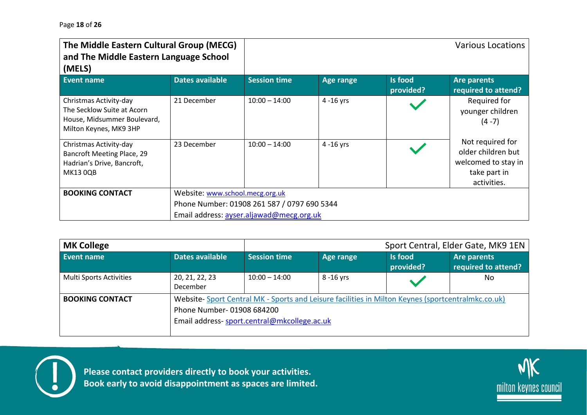| The Middle Eastern Cultural Group (MECG)<br>and The Middle Eastern Language School<br>(MELS)                  |                                          |                                             |                  |                             | <b>Various Locations</b>                                                                     |  |  |
|---------------------------------------------------------------------------------------------------------------|------------------------------------------|---------------------------------------------|------------------|-----------------------------|----------------------------------------------------------------------------------------------|--|--|
| <b>Event name</b>                                                                                             | <b>Dates available</b>                   | <b>Session time</b>                         | <b>Age range</b> | <b>Is food</b><br>provided? | <b>Are parents</b><br>required to attend?                                                    |  |  |
| Christmas Activity-day<br>The Secklow Suite at Acorn<br>House, Midsummer Boulevard,<br>Milton Keynes, MK9 3HP | 21 December                              | $10:00 - 14:00$                             | $4 - 16$ yrs     |                             | Required for<br>younger children<br>$(4-7)$                                                  |  |  |
| Christmas Activity-day<br>Bancroft Meeting Place, 29<br>Hadrian's Drive, Bancroft,<br>MK13 0QB                | 23 December                              | $10:00 - 14:00$                             | $4 - 16$ yrs     |                             | Not required for<br>older children but<br>welcomed to stay in<br>take part in<br>activities. |  |  |
| <b>BOOKING CONTACT</b>                                                                                        | Website: www.school.mecg.org.uk          |                                             |                  |                             |                                                                                              |  |  |
|                                                                                                               |                                          | Phone Number: 01908 261 587 / 0797 690 5344 |                  |                             |                                                                                              |  |  |
|                                                                                                               | Email address: ayser.aljawad@mecg.org.uk |                                             |                  |                             |                                                                                              |  |  |

| <b>MK College</b>       |                            | Sport Central, Elder Gate, MK9 1EN                                                                                                               |            |                             |                                    |  |
|-------------------------|----------------------------|--------------------------------------------------------------------------------------------------------------------------------------------------|------------|-----------------------------|------------------------------------|--|
| Event name              | Dates available            | <b>Session time</b>                                                                                                                              | Age range  | <b>Is food</b><br>provided? | Are parents<br>required to attend? |  |
| Multi Sports Activities | 20, 21, 22, 23<br>December | $10:00 - 14:00$                                                                                                                                  | 8 - 16 yrs |                             | No                                 |  |
| <b>BOOKING CONTACT</b>  | Phone Number-01908 684200  | Website-Sport Central MK - Sports and Leisure facilities in Milton Keynes (sportcentralmkc.co.uk)<br>Email address-sport.central@mkcollege.ac.uk |            |                             |                                    |  |



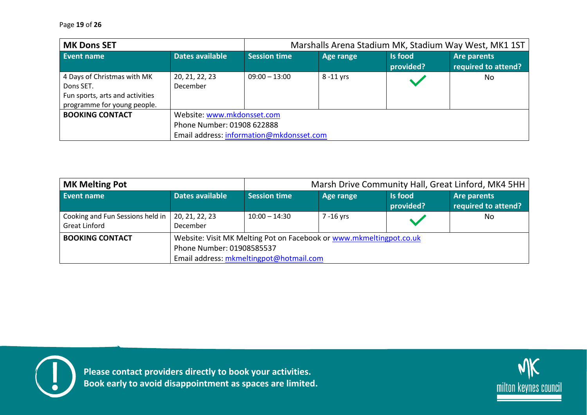| <b>MK Dons SET</b>                                                                                         | Marshalls Arena Stadium MK, Stadium Way West, MK1 1ST |                     |                                                                                                      |                      |                                           |  |  |  |
|------------------------------------------------------------------------------------------------------------|-------------------------------------------------------|---------------------|------------------------------------------------------------------------------------------------------|----------------------|-------------------------------------------|--|--|--|
| Event name                                                                                                 | Dates available                                       | <b>Session time</b> | Age range                                                                                            | Is food<br>provided? | <b>Are parents</b><br>required to attend? |  |  |  |
| 4 Days of Christmas with MK<br>Dons SET.<br>Fun sports, arts and activities<br>programme for young people. | 20, 21, 22, 23<br>December                            | $09:00 - 13:00$     | $8 - 11$ yrs                                                                                         |                      | No                                        |  |  |  |
| <b>BOOKING CONTACT</b>                                                                                     |                                                       |                     | Website: www.mkdonsset.com<br>Phone Number: 01908 622888<br>Email address: information@mkdonsset.com |                      |                                           |  |  |  |

| <b>MK Melting Pot</b>                                    |                                                                      | Marsh Drive Community Hall, Great Linford, MK4 5HH |                                                                     |                             |                                    |
|----------------------------------------------------------|----------------------------------------------------------------------|----------------------------------------------------|---------------------------------------------------------------------|-----------------------------|------------------------------------|
| Event name                                               | Dates available                                                      | <b>Session time</b>                                | Age range                                                           | <b>Is food</b><br>provided? | Are parents<br>required to attend? |
| Cooking and Fun Sessions held in<br><b>Great Linford</b> | 20, 21, 22, 23<br>December                                           | $10:00 - 14:30$                                    | 7 -16 vrs                                                           |                             | No                                 |
| <b>BOOKING CONTACT</b>                                   | Phone Number: 01908585537<br>Email address: mkmeltingpot@hotmail.com |                                                    | Website: Visit MK Melting Pot on Facebook or www.mkmeltingpot.co.uk |                             |                                    |



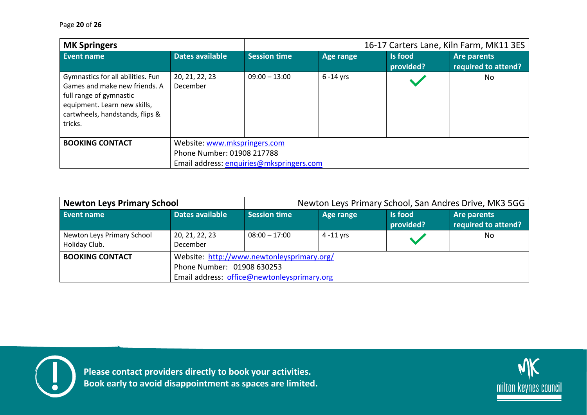| <b>MK Springers</b>                                                                                                                                                         |                                          |                            |              | 16-17 Carters Lane, Kiln Farm, MK11 3ES |                                    |  |  |
|-----------------------------------------------------------------------------------------------------------------------------------------------------------------------------|------------------------------------------|----------------------------|--------------|-----------------------------------------|------------------------------------|--|--|
| Event name                                                                                                                                                                  | Dates available                          | <b>Session time</b>        | Age range    | Is food<br>provided?                    | Are parents<br>required to attend? |  |  |
| Gymnastics for all abilities. Fun<br>Games and make new friends. A<br>full range of gymnastic<br>equipment. Learn new skills,<br>cartwheels, handstands, flips &<br>tricks. | 20, 21, 22, 23<br>December               | $09:00 - 13:00$            | $6 - 14$ yrs |                                         | No                                 |  |  |
| <b>BOOKING CONTACT</b>                                                                                                                                                      | Website: www.mkspringers.com             |                            |              |                                         |                                    |  |  |
|                                                                                                                                                                             |                                          | Phone Number: 01908 217788 |              |                                         |                                    |  |  |
|                                                                                                                                                                             | Email address: enquiries@mkspringers.com |                            |              |                                         |                                    |  |  |

| <b>Newton Leys Primary School</b>           |                                                                                                                         | Newton Leys Primary School, San Andres Drive, MK3 5GG |              |                             |                                    |  |
|---------------------------------------------|-------------------------------------------------------------------------------------------------------------------------|-------------------------------------------------------|--------------|-----------------------------|------------------------------------|--|
| Event name                                  | Dates available                                                                                                         | <b>Session time</b>                                   | Age range    | <b>Is food</b><br>provided? | Are parents<br>required to attend? |  |
| Newton Leys Primary School<br>Holiday Club. | 20, 21, 22, 23<br>December                                                                                              | $08:00 - 17:00$                                       | $4 - 11$ vrs |                             | No                                 |  |
| <b>BOOKING CONTACT</b>                      | Website: http://www.newtonleysprimary.org/<br>Phone Number: 01908 630253<br>Email address: office@newtonleysprimary.org |                                                       |              |                             |                                    |  |



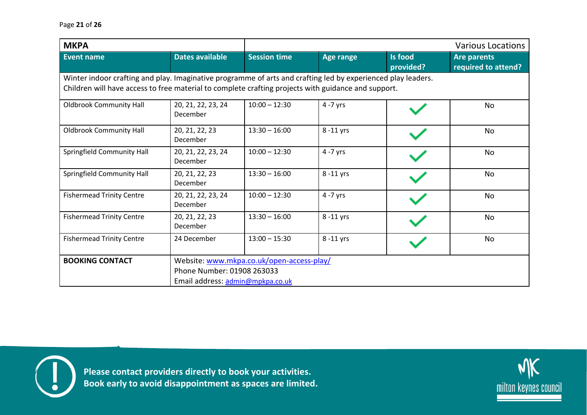| <b>MKPA</b>                                                                                                                                                                                                         |                                                                                                             |                     |                  |                      | <b>Various Locations</b>                  |  |  |
|---------------------------------------------------------------------------------------------------------------------------------------------------------------------------------------------------------------------|-------------------------------------------------------------------------------------------------------------|---------------------|------------------|----------------------|-------------------------------------------|--|--|
| <b>Event name</b>                                                                                                                                                                                                   | <b>Dates available</b>                                                                                      | <b>Session time</b> | <b>Age range</b> | Is food<br>provided? | <b>Are parents</b><br>required to attend? |  |  |
| Winter indoor crafting and play. Imaginative programme of arts and crafting led by experienced play leaders.<br>Children will have access to free material to complete crafting projects with guidance and support. |                                                                                                             |                     |                  |                      |                                           |  |  |
| <b>Oldbrook Community Hall</b>                                                                                                                                                                                      | 20, 21, 22, 23, 24<br>December                                                                              | $10:00 - 12:30$     | 4 -7 yrs         |                      | <b>No</b>                                 |  |  |
| <b>Oldbrook Community Hall</b>                                                                                                                                                                                      | 20, 21, 22, 23<br>December                                                                                  | $13:30 - 16:00$     | 8-11 yrs         |                      | No                                        |  |  |
| <b>Springfield Community Hall</b>                                                                                                                                                                                   | 20, 21, 22, 23, 24<br>December                                                                              | $10:00 - 12:30$     | $4 - 7$ yrs      |                      | No                                        |  |  |
| <b>Springfield Community Hall</b>                                                                                                                                                                                   | 20, 21, 22, 23<br>December                                                                                  | $13:30 - 16:00$     | 8-11 yrs         |                      | No                                        |  |  |
| <b>Fishermead Trinity Centre</b>                                                                                                                                                                                    | 20, 21, 22, 23, 24<br>December                                                                              | $10:00 - 12:30$     | 4 -7 yrs         |                      | <b>No</b>                                 |  |  |
| <b>Fishermead Trinity Centre</b>                                                                                                                                                                                    | 20, 21, 22, 23<br>December                                                                                  | $13:30 - 16:00$     | 8 -11 yrs        |                      | <b>No</b>                                 |  |  |
| <b>Fishermead Trinity Centre</b>                                                                                                                                                                                    | 24 December                                                                                                 | $13:00 - 15:30$     | 8 -11 yrs        |                      | <b>No</b>                                 |  |  |
| <b>BOOKING CONTACT</b>                                                                                                                                                                                              | Website: www.mkpa.co.uk/open-access-play/<br>Phone Number: 01908 263033<br>Email address: admin@mpkpa.co.uk |                     |                  |                      |                                           |  |  |



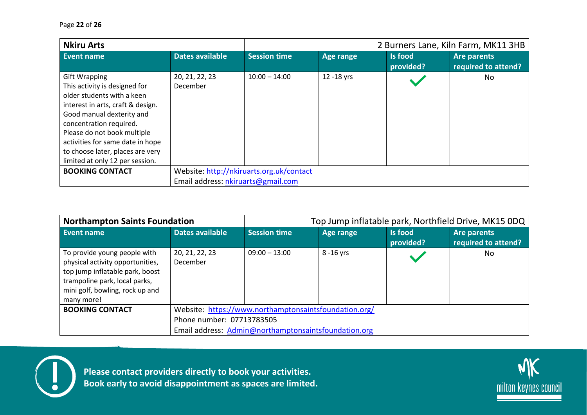| <b>Nkiru Arts</b>                                                                                                                                                                                                                                                                                                          | 2 Burners Lane, Kiln Farm, MK11 3HB      |                     |            |                      |                                    |  |
|----------------------------------------------------------------------------------------------------------------------------------------------------------------------------------------------------------------------------------------------------------------------------------------------------------------------------|------------------------------------------|---------------------|------------|----------------------|------------------------------------|--|
| Event name                                                                                                                                                                                                                                                                                                                 | Dates available                          | <b>Session time</b> | Age range  | Is food<br>provided? | Are parents<br>required to attend? |  |
| <b>Gift Wrapping</b><br>This activity is designed for<br>older students with a keen<br>interest in arts, craft & design.<br>Good manual dexterity and<br>concentration required.<br>Please do not book multiple<br>activities for same date in hope<br>to choose later, places are very<br>limited at only 12 per session. | 20, 21, 22, 23<br><b>December</b>        | $10:00 - 14:00$     | 12 -18 yrs |                      | No.                                |  |
| <b>BOOKING CONTACT</b>                                                                                                                                                                                                                                                                                                     | Website: http://nkiruarts.org.uk/contact |                     |            |                      |                                    |  |
|                                                                                                                                                                                                                                                                                                                            | Email address: nkiruarts@gmail.com       |                     |            |                      |                                    |  |

| <b>Northampton Saints Foundation</b>                                                                                                                                                  |                                                       | Top Jump inflatable park, Northfield Drive, MK15 0DQ |            |                             |                                    |  |
|---------------------------------------------------------------------------------------------------------------------------------------------------------------------------------------|-------------------------------------------------------|------------------------------------------------------|------------|-----------------------------|------------------------------------|--|
| <b>Event name</b>                                                                                                                                                                     | Dates available                                       | <b>Session time</b>                                  | Age range  | <b>Is food</b><br>provided? | Are parents<br>required to attend? |  |
| To provide young people with<br>physical activity opportunities,<br>top jump inflatable park, boost<br>trampoline park, local parks,<br>mini golf, bowling, rock up and<br>many more! | 20, 21, 22, 23<br>December                            | $09:00 - 13:00$                                      | 8 - 16 yrs |                             | No                                 |  |
| <b>BOOKING CONTACT</b>                                                                                                                                                                | Website: https://www.northamptonsaintsfoundation.org/ |                                                      |            |                             |                                    |  |
|                                                                                                                                                                                       | Phone number: 07713783505                             |                                                      |            |                             |                                    |  |
|                                                                                                                                                                                       | Email address: Admin@northamptonsaintsfoundation.org  |                                                      |            |                             |                                    |  |



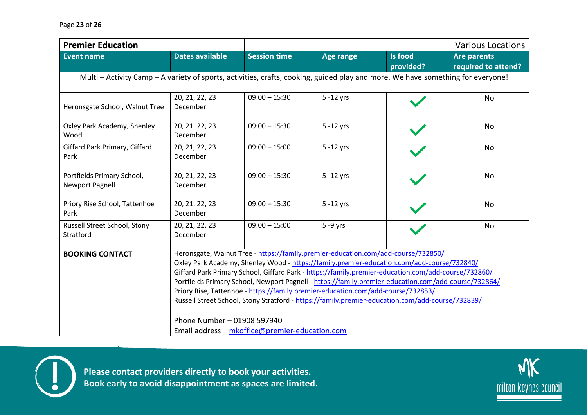| <b>Premier Education</b>                                                                                                        |                                                                                                                                                                                                                                                                                                                                                                                                                                                                                                                                                                                                                                                                         |                     |                  |                             | <b>Various Locations</b>                  |  |  |
|---------------------------------------------------------------------------------------------------------------------------------|-------------------------------------------------------------------------------------------------------------------------------------------------------------------------------------------------------------------------------------------------------------------------------------------------------------------------------------------------------------------------------------------------------------------------------------------------------------------------------------------------------------------------------------------------------------------------------------------------------------------------------------------------------------------------|---------------------|------------------|-----------------------------|-------------------------------------------|--|--|
| <b>Event name</b>                                                                                                               | <b>Dates available</b>                                                                                                                                                                                                                                                                                                                                                                                                                                                                                                                                                                                                                                                  | <b>Session time</b> | <b>Age range</b> | <b>Is food</b><br>provided? | <b>Are parents</b><br>required to attend? |  |  |
| Multi - Activity Camp - A variety of sports, activities, crafts, cooking, guided play and more. We have something for everyone! |                                                                                                                                                                                                                                                                                                                                                                                                                                                                                                                                                                                                                                                                         |                     |                  |                             |                                           |  |  |
| Heronsgate School, Walnut Tree                                                                                                  | 20, 21, 22, 23<br>December                                                                                                                                                                                                                                                                                                                                                                                                                                                                                                                                                                                                                                              | $09:00 - 15:30$     | $5 - 12$ yrs     |                             | <b>No</b>                                 |  |  |
| Oxley Park Academy, Shenley<br>Wood                                                                                             | 20, 21, 22, 23<br>December                                                                                                                                                                                                                                                                                                                                                                                                                                                                                                                                                                                                                                              | $09:00 - 15:30$     | $5 - 12$ yrs     |                             | <b>No</b>                                 |  |  |
| Giffard Park Primary, Giffard<br>Park                                                                                           | 20, 21, 22, 23<br>December                                                                                                                                                                                                                                                                                                                                                                                                                                                                                                                                                                                                                                              | $09:00 - 15:00$     | $5 - 12$ yrs     |                             | No                                        |  |  |
| Portfields Primary School,<br><b>Newport Pagnell</b>                                                                            | 20, 21, 22, 23<br>December                                                                                                                                                                                                                                                                                                                                                                                                                                                                                                                                                                                                                                              | $09:00 - 15:30$     | 5 - 12 yrs       |                             | <b>No</b>                                 |  |  |
| Priory Rise School, Tattenhoe<br>Park                                                                                           | 20, 21, 22, 23<br>December                                                                                                                                                                                                                                                                                                                                                                                                                                                                                                                                                                                                                                              | $09:00 - 15:30$     | $5 - 12$ yrs     |                             | No                                        |  |  |
| Russell Street School, Stony<br>Stratford                                                                                       | 20, 21, 22, 23<br>December                                                                                                                                                                                                                                                                                                                                                                                                                                                                                                                                                                                                                                              | $09:00 - 15:00$     | $5 - 9$ yrs      |                             | No                                        |  |  |
| <b>BOOKING CONTACT</b>                                                                                                          | Heronsgate, Walnut Tree - https://family.premier-education.com/add-course/732850/<br>Oxley Park Academy, Shenley Wood - https://family.premier-education.com/add-course/732840/<br>Giffard Park Primary School, Giffard Park - https://family.premier-education.com/add-course/732860/<br>Portfields Primary School, Newport Pagnell - https://family.premier-education.com/add-course/732864/<br>Priory Rise, Tattenhoe - https://family.premier-education.com/add-course/732853/<br>Russell Street School, Stony Stratford - https://family.premier-education.com/add-course/732839/<br>Phone Number - 01908 597940<br>Email address - mkoffice@premier-education.com |                     |                  |                             |                                           |  |  |



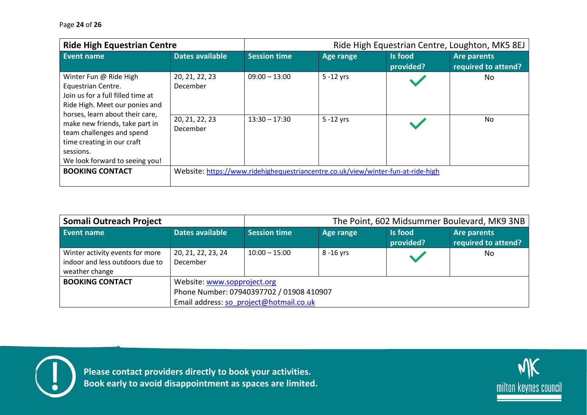| <b>Ride High Equestrian Centre</b>                                                                                                                                                   |                            | Ride High Equestrian Centre, Loughton, MK5 8EJ |                                                                                  |                      |                                    |
|--------------------------------------------------------------------------------------------------------------------------------------------------------------------------------------|----------------------------|------------------------------------------------|----------------------------------------------------------------------------------|----------------------|------------------------------------|
| Event name                                                                                                                                                                           | Dates available            | <b>Session time</b>                            | <b>Age range</b>                                                                 | Is food<br>provided? | Are parents<br>required to attend? |
| 20, 21, 22, 23<br>Winter Fun @ Ride High<br>December<br>Equestrian Centre.<br>Join us for a full filled time at<br>Ride High. Meet our ponies and<br>horses, learn about their care, |                            | $09:00 - 13:00$                                | $5 - 12$ yrs                                                                     |                      | No.                                |
| make new friends, take part in<br>team challenges and spend<br>time creating in our craft<br>sessions.<br>We look forward to seeing you!                                             | 20, 21, 22, 23<br>December | $13:30 - 17:30$                                | $5 - 12$ yrs                                                                     |                      | No                                 |
| <b>BOOKING CONTACT</b>                                                                                                                                                               |                            |                                                | Website: https://www.ridehighequestriancentre.co.uk/view/winter-fun-at-ride-high |                      |                                    |

| Somali Outreach Project                                                              |                                                                                                                    |                     |            | The Point, 602 Midsummer Boulevard, MK9 3NB |                                    |  |
|--------------------------------------------------------------------------------------|--------------------------------------------------------------------------------------------------------------------|---------------------|------------|---------------------------------------------|------------------------------------|--|
| <b>Event name</b>                                                                    | Dates available                                                                                                    | <b>Session time</b> | Age range  | <b>Is food</b><br>provided?                 | Are parents<br>required to attend? |  |
| Winter activity events for more<br>indoor and less outdoors due to<br>weather change | 20, 21, 22, 23, 24<br><b>December</b>                                                                              | $10:00 - 15:00$     | 8 - 16 yrs |                                             | No                                 |  |
| <b>BOOKING CONTACT</b>                                                               | Website: www.sopproject.org<br>Phone Number: 07940397702 / 01908 410907<br>Email address: so project@hotmail.co.uk |                     |            |                                             |                                    |  |



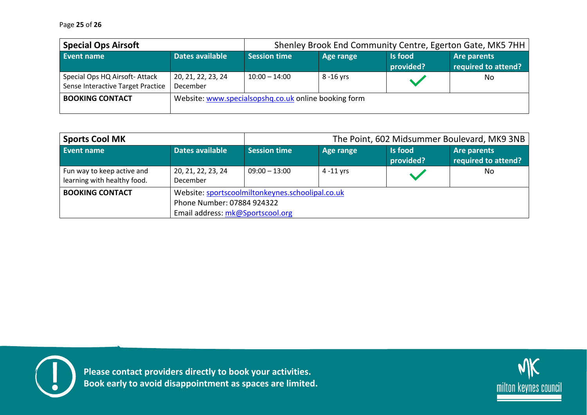| <b>Special Ops Airsoft</b>                                         | Shenley Brook End Community Centre, Egerton Gate, MK5 7HH |                     |            |                             |                                    |
|--------------------------------------------------------------------|-----------------------------------------------------------|---------------------|------------|-----------------------------|------------------------------------|
| Event name                                                         | Dates available                                           | <b>Session time</b> | Age range  | <b>Is food</b><br>provided? | Are parents<br>required to attend? |
| Special Ops HQ Airsoft-Attack<br>Sense Interactive Target Practice | 20, 21, 22, 23, 24<br>December                            | $10:00 - 14:00$     | 8 - 16 yrs |                             | No                                 |
| <b>BOOKING CONTACT</b>                                             | Website: www.specialsopshq.co.uk online booking form      |                     |            |                             |                                    |

| <b>Sports Cool MK</b>                                     |                                | The Point, 602 Midsummer Boulevard, MK9 3NB                                                                        |           |                             |                                    |  |  |
|-----------------------------------------------------------|--------------------------------|--------------------------------------------------------------------------------------------------------------------|-----------|-----------------------------|------------------------------------|--|--|
| Event name                                                | Dates available                | <b>Session time</b>                                                                                                | Age range | <b>Is food</b><br>provided? | Are parents<br>required to attend? |  |  |
| Fun way to keep active and<br>learning with healthy food. | 20, 21, 22, 23, 24<br>December | $09:00 - 13:00$                                                                                                    | 4 -11 vrs |                             | No                                 |  |  |
| <b>BOOKING CONTACT</b>                                    |                                | Website: sportscoolmiltonkeynes.schoolipal.co.uk<br>Phone Number: 07884 924322<br>Email address: mk@Sportscool.org |           |                             |                                    |  |  |